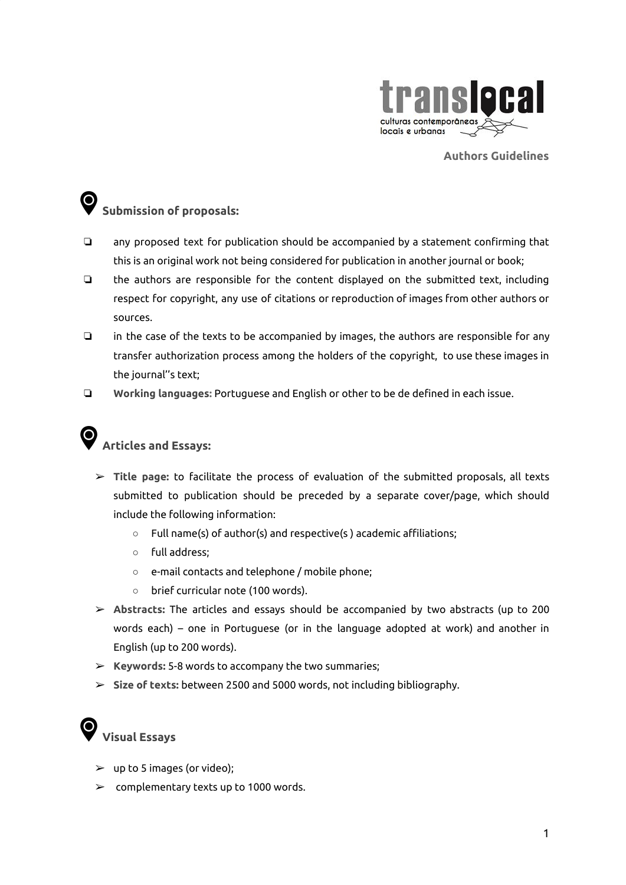

**Authors Guidelines**

## **Submission of proposals:**

- ❏ any proposed text for publication should be accompanied by a statement confirming that this is an original work not being considered for publication in another journal or book;
- ❏ the authors are responsible for the content displayed on the submitted text, including respect for copyright, any use of citations or reproduction of images from other authors or sources.
- ❏ in the case of the texts to be accompanied by images, the authors are responsible for any transfer authorization process among the holders of the copyright, to use these images in the journal''s text;
- ❏ **Working languages:** Portuguese and English or other to be de defined in each issue.

## **Articles and Essays:**

- ➢ **Title page:** to facilitate the process of evaluation of the submitted proposals, all texts submitted to publication should be preceded by a separate cover/page, which should include the following information:
	- Full name(s) of author(s) and respective(s) academic affiliations;
	- full address;
	- e-mail contacts and telephone / mobile phone;
	- brief curricular note (100 words).
- ➢ **Abstracts:** The articles and essays should be accompanied by two abstracts (up to 200 words each) – one in Portuguese (or in the language adopted at work) and another in English (up to 200 words).
- ➢ **Keywords:** 5-8 words to accompany the two summaries;
- ➢ **Size of texts:** between 2500 and 5000 words, not including bibliography.

## **Visual Essays**

- $\blacktriangleright$  up to 5 images (or video);
- $\geq$  complementary texts up to 1000 words.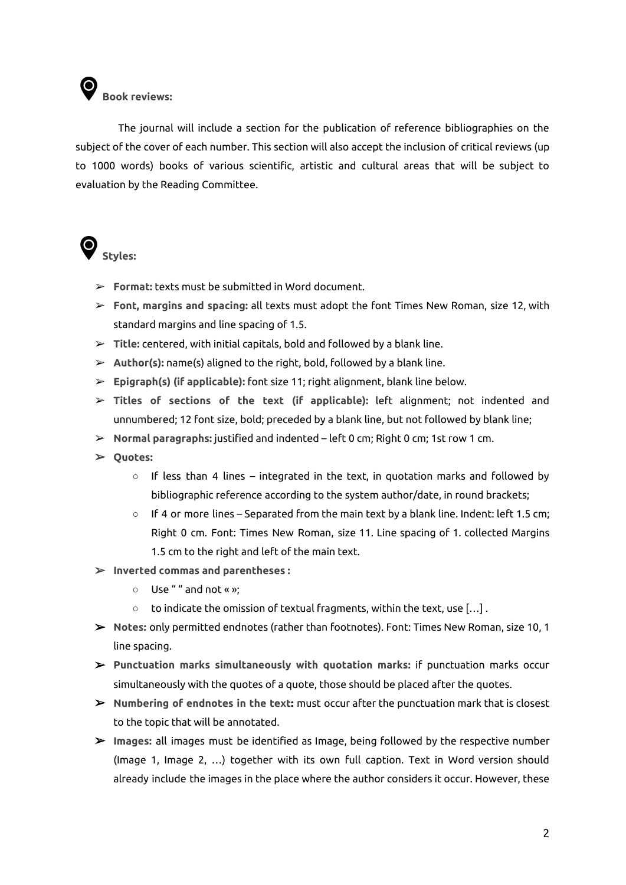

The journal will include a section for the publication of reference bibliographies on the subject of the cover of each number. This section will also accept the inclusion of critical reviews (up to 1000 words) books of various scientific, artistic and cultural areas that will be subject to evaluation by the Reading Committee.



- ➢ **Format:** texts must be submitted in Word document.
- ➢ **Font, margins and spacing:** all texts must adopt the font Times New Roman, size 12, with standard margins and line spacing of 1.5.
- ➢ **Title:** centered, with initial capitals, bold and followed by a blank line.
- ➢ **Author(s):** name(s) aligned to the right, bold, followed by a blank line.
- ➢ **Epigraph(s) (if applicable):** font size 11; right alignment, blank line below.
- ➢ **Titles of sections of the text (if applicable):** left alignment; not indented and unnumbered; 12 font size, bold; preceded by a blank line, but not followed by blank line;
- ➢ **Normal paragraphs:** justified and indented left 0 cm; Right 0 cm; 1st row 1 cm.
- ➢ **Quotes:**
	- **○** If less than 4 lines integrated in the text, in quotation marks and followed by bibliographic reference according to the system author/date, in round brackets;
	- **○** If 4 or more lines Separated from the main text by a blank line. Indent: left 1.5 cm; Right 0 cm. Font: Times New Roman, size 11. Line spacing of 1. collected Margins 1.5 cm to the right and left of the main text.
- ➢ **Inverted commas and parentheses :**
	- **○** Use " " and not « »;
	- **○** to indicate the omission of textual fragments, within the text, use […] .
- ➢ **Notes:** only permitted endnotes (rather than footnotes). Font: Times New Roman, size 10, 1 line spacing.
- ➢ **Punctuation marks simultaneously with quotation marks:** if punctuation marks occur simultaneously with the quotes of a quote, those should be placed after the quotes.
- ➢ **Numbering of endnotes in the text:** must occur after the punctuation mark that is closest to the topic that will be annotated.
- ➢ **Images:** all images must be identified as Image, being followed by the respective number (Image 1, Image 2, …) together with its own full caption. Text in Word version should already include the images in the place where the author considers it occur. However, these